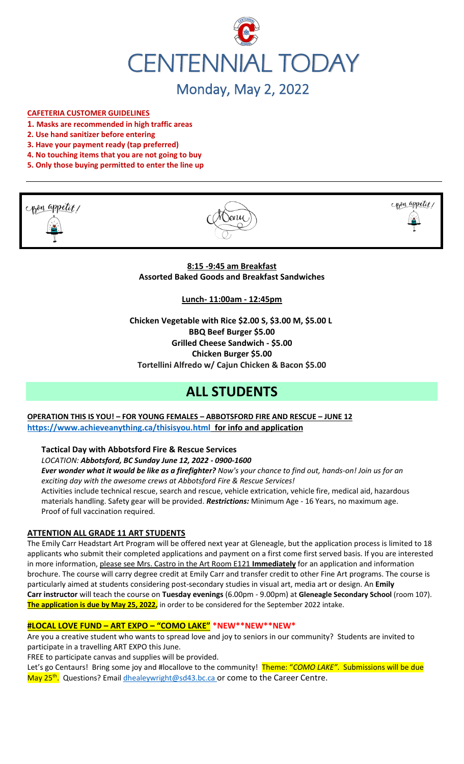

## **CAFETERIA CUSTOMER GUIDELINES**

- **1. Masks are recommended in high traffic areas**
- **2. Use hand sanitizer before entering**
- **3. Have your payment ready (tap preferred)**
- **4. No touching items that you are not going to buy**
- **5. Only those buying permitted to enter the line up**







**8:15 -9:45 am Breakfast Assorted Baked Goods and Breakfast Sandwiches**

**Lunch- 11:00am - 12:45pm**

**Chicken Vegetable with Rice \$2.00 S, \$3.00 M, \$5.00 L BBQ Beef Burger \$5.00 Grilled Cheese Sandwich - \$5.00 Chicken Burger \$5.00 Tortellini Alfredo w/ Cajun Chicken & Bacon \$5.00**

# **ALL STUDENTS**

**OPERATION THIS IS YOU! – FOR YOUNG FEMALES – ABBOTSFORD FIRE AND RESCUE – JUNE 12 <https://www.achieveanything.ca/thisisyou.html> for info and application**

## **Tactical Day with Abbotsford Fire & Rescue Services**

*LOCATION: Abbotsford, BC Sunday June 12, 2022 - 0900-1600*

*Ever wonder what it would be like as a firefighter? Now's your chance to find out, hands-on! Join us for an exciting day with the awesome crews at Abbotsford Fire & Rescue Services!*  Activities include technical rescue, search and rescue, vehicle extrication, vehicle fire, medical aid, hazardous materials handling. Safety gear will be provided. *Restrictions:* Minimum Age - 16 Years, no maximum age. Proof of full vaccination required.

#### **ATTENTION ALL GRADE 11 ART STUDENTS**

The Emily Carr Headstart Art Program will be offered next year at Gleneagle, but the application process is limited to 18 applicants who submit their completed applications and payment on a first come first served basis. If you are interested in more information, please see Mrs. Castro in the Art Room E121 **Immediately** for an application and information brochure. The course will carry degree credit at Emily Carr and transfer credit to other Fine Art programs. The course is particularly aimed at students considering post-secondary studies in visual art, media art or design. An **Emily Carr instructor** will teach the course on **Tuesday evenings** (6.00pm - 9.00pm) at **Gleneagle Secondary School** (room 107). **The application is due by May 25, 2022,** in order to be considered for the September 2022 intake.

## **#LOCAL LOVE FUND – ART EXPO – "COMO LAKE" \*NEW\*\*NEW\*\*NEW\***

Are you a creative student who wants to spread love and joy to seniors in our community? Students are invited to participate in a travelling ART EXPO this June.

FREE to participate canvas and supplies will be provided.

Let's go Centaurs! Bring some joy and #locallove to the community! Theme: "*COMO LAKE"*. Submissions will be due

May 25<sup>th</sup>. Questions? Emai[l dhealeywright@sd43.bc.ca](mailto:dhealeywright@sd43.bc.ca) or come to the Career Centre.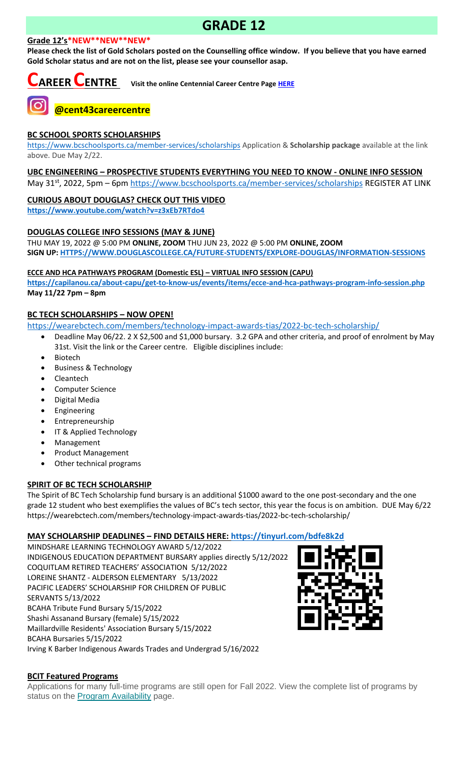# **GRADE 12**

## **Grade 12's\*NEW\*\*NEW\*\*NEW\***

**Please check the list of Gold Scholars posted on the Counselling office window. If you believe that you have earned Gold Scholar status and are not on the list, please see your counsellor asap.**



# **@cent43careercentre**

# **BC SCHOOL SPORTS SCHOLARSHIPS**

<https://www.bcschoolsports.ca/member-services/scholarships> Application & **Scholarship package** available at the link above. Due May 2/22.

#### **UBC ENGINEERING – PROSPECTIVE STUDENTS EVERYTHING YOU NEED TO KNOW - ONLINE INFO SESSION**

May 31<sup>st</sup>, 2022, 5pm – 6pm<https://www.bcschoolsports.ca/member-services/scholarships> REGISTER AT LINK

## **CURIOUS ABOUT DOUGLAS? CHECK OUT THIS VIDEO**

**<https://www.youtube.com/watch?v=z3xEb7RTdo4>**

# **DOUGLAS COLLEGE INFO SESSIONS (MAY & JUNE)**

THU MAY 19, 2022 @ 5:00 PM **ONLINE, ZOOM** THU JUN 23, 2022 @ 5:00 PM **ONLINE, ZOOM SIGN UP[: HTTPS://WWW.DOUGLASCOLLEGE.CA/FUTURE-STUDENTS/EXPLORE-DOUGLAS/INFORMATION-SESSIONS](https://www.douglascollege.ca/future-students/explore-douglas/information-sessions)**

## **ECCE AND HCA PATHWAYS PROGRAM (Domestic ESL) – VIRTUAL INFO SESSION (CAPU)**

**<https://capilanou.ca/about-capu/get-to-know-us/events/items/ecce-and-hca-pathways-program-info-session.php> May 11/22 7pm – 8pm**

# **BC TECH SCHOLARSHIPS – NOW OPEN!**

[https://wearebctech.com/members/technology-impact-awards-tias/2022-bc-tech-scholarship/](file://///d00-v02-p01/Shared_Data/076/Staff_Shared/Office/centennial%20today/Centennial%20Today%202021-2022/April%202022/​https:/wearebctech.com/members/technology-impact-awards-tias/2022-bc-tech-scholarship/)

- Deadline May 06/22. 2 X \$2,500 and \$1,000 bursary. 3.2 GPA and other criteria, and proof of enrolment by May 31st. Visit the link or the Career centre. Eligible disciplines include:
	- **Biotech**
- Business & Technology
- Cleantech
- Computer Science
- Digital Media
- **Engineering**
- **Entrepreneurship**
- IT & Applied Technology
- **Management**
- Product Management
- Other technical programs

## **SPIRIT OF BC TECH SCHOLARSHIP**

The Spirit of BC Tech Scholarship fund bursary is an additional \$1000 award to the one post-secondary and the one grade 12 student who best exemplifies the values of BC's tech sector, this year the focus is on ambition. DUE May 6/2[2](https://wearebctech.com/members/technology-impact-awards-tias/2022-bc-tech-scholarship/) <https://wearebctech.com/members/technology-impact-awards-tias/2022-bc-tech-scholarship/>

## **MAY SCHOLARSHIP DEADLINES – FIND DETAILS HERE:<https://tinyurl.com/bdfe8k2d>**

MINDSHARE LEARNING TECHNOLOGY AWARD 5/12/2022 INDIGENOUS EDUCATION DEPARTMENT BURSARY applies directly 5/12/2022 COQUITLAM RETIRED TEACHERS' ASSOCIATION 5/12/2022 LOREINE SHANTZ - ALDERSON ELEMENTARY 5/13/2022 PACIFIC LEADERS' SCHOLARSHIP FOR CHILDREN OF PUBLIC SERVANTS 5/13/2022 BCAHA Tribute Fund Bursary 5/15/2022 Shashi Assanand Bursary (female) 5/15/2022 Maillardville Residents' Association Bursary 5/15/2022 BCAHA Bursaries 5/15/2022 Irving K Barber Indigenous Awards Trades and Undergrad 5/16/2022



**BCIT Featured Programs**

Applications for many full-time programs are still open for Fall 2022. View the complete list of programs by status on the **[Program Availability](https://bcit.us8.list-manage.com/track/click?u=daf05330755626307efc8f07f&id=4d4ed36616&e=b29846f095)** page.